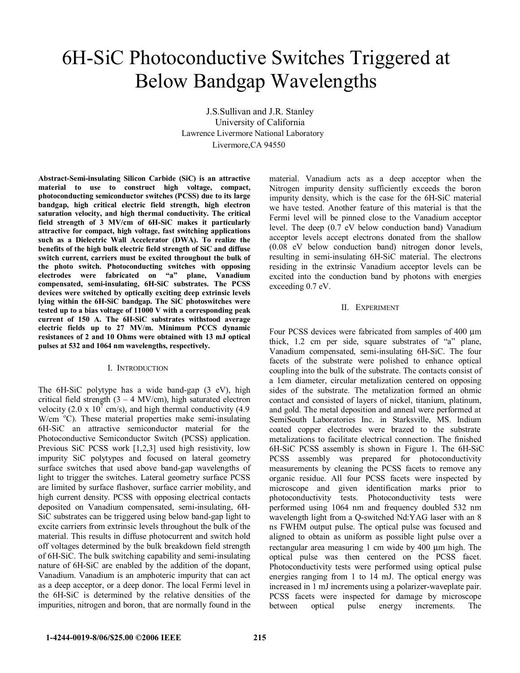## 6H-SiC Photoconductive Switches Triggered at Below Bandgap Wavelengths

J.S.Sullivan and J.R. Stanley University of California Lawrence Livermore National Laboratory Livermore,CA 94550

**Abstract-Semi-insulating Silicon Carbide (SiC) is an attractive material to use to construct high voltage, compact, photoconducting semiconductor switches (PCSS) due to its large bandgap, high critical electric field strength, high electron saturation velocity, and high thermal conductivity. The critical field strength of 3 MV/cm of 6H-SiC makes it particularly attractive for compact, high voltage, fast switching applications such as a Dielectric Wall Accelerator (DWA). To realize the benefits of the high bulk electric field strength of SiC and diffuse switch current, carriers must be excited throughout the bulk of the photo switch. Photoconducting switches with opposing electrodes were fabricated on "a" plane, Vanadium compensated, semi-insulating, 6H-SiC substrates. The PCSS devices were switched by optically exciting deep extrinsic levels lying within the 6H-SiC bandgap. The SiC photoswitches were tested up to a bias voltage of 11000 V with a corresponding peak current of 150 A. The 6H-SiC substrates withstood average electric fields up to 27 MV/m. Minimum PCCS dynamic resistances of 2 and 10 Ohms were obtained with 13 mJ optical pulses at 532 and 1064 nm wavelengths, respectively.** 

## I. INTRODUCTION

The 6H-SiC polytype has a wide band-gap (3 eV), high critical field strength  $(3 - 4 \text{ MV/cm})$ , high saturated electron velocity (2.0 x  $10^7$  cm/s), and high thermal conductivity (4.9)  $W/cm$  °C). These material properties make semi-insulating 6H-SiC an attractive semiconductor material for the Photoconductive Semiconductor Switch (PCSS) application. Previous SiC PCSS work [1,2,3] used high resistivity, low impurity SiC polytypes and focused on lateral geometry surface switches that used above band-gap wavelengths of light to trigger the switches. Lateral geometry surface PCSS are limited by surface flashover, surface carrier mobility, and high current density. PCSS with opposing electrical contacts deposited on Vanadium compensated, semi-insulating, 6H-SiC substrates can be triggered using below band-gap light to excite carriers from extrinsic levels throughout the bulk of the material. This results in diffuse photocurrent and switch hold off voltages determined by the bulk breakdown field strength of 6H-SiC. The bulk switching capability and semi-insulating nature of 6H-SiC are enabled by the addition of the dopant, Vanadium. Vanadium is an amphoteric impurity that can act as a deep acceptor, or a deep donor. The local Fermi level in the 6H-SiC is determined by the relative densities of the impurities, nitrogen and boron, that are normally found in the

material. Vanadium acts as a deep acceptor when the Nitrogen impurity density sufficiently exceeds the boron impurity density, which is the case for the 6H-SiC material we have tested. Another feature of this material is that the Fermi level will be pinned close to the Vanadium acceptor level. The deep (0.7 eV below conduction band) Vanadium acceptor levels accept electrons donated from the shallow (0.08 eV below conduction band) nitrogen donor levels, resulting in semi-insulating 6H-SiC material. The electrons residing in the extrinsic Vanadium acceptor levels can be excited into the conduction band by photons with energies exceeding 0.7 eV.

## II. EXPERIMENT

Four PCSS devices were fabricated from samples of 400 µm thick, 1.2 cm per side, square substrates of "a" plane, Vanadium compensated, semi-insulating 6H-SiC. The four facets of the substrate were polished to enhance optical coupling into the bulk of the substrate. The contacts consist of a 1cm diameter, circular metalization centered on opposing sides of the substrate. The metalization formed an ohmic contact and consisted of layers of nickel, titanium, platinum, and gold. The metal deposition and anneal were performed at SemiSouth Laboratories Inc. in Starksville, MS. Indium coated copper electrodes were brazed to the substrate metalizations to facilitate electrical connection. The finished 6H-SiC PCSS assembly is shown in Figure 1. The 6H-SiC PCSS assembly was prepared for photoconductivity measurements by cleaning the PCSS facets to remove any organic residue. All four PCSS facets were inspected by microscope and given identification marks prior to photoconductivity tests. Photoconductivity tests were performed using 1064 nm and frequency doubled 532 nm wavelength light from a Q-switched Nd:YAG laser with an 8 ns FWHM output pulse. The optical pulse was focused and aligned to obtain as uniform as possible light pulse over a rectangular area measuring 1 cm wide by 400 µm high. The optical pulse was then centered on the PCSS facet. Photoconductivity tests were performed using optical pulse energies ranging from 1 to 14 mJ. The optical energy was increased in 1 mJ increments using a polarizer-waveplate pair. PCSS facets were inspected for damage by microscope between optical pulse energy increments. The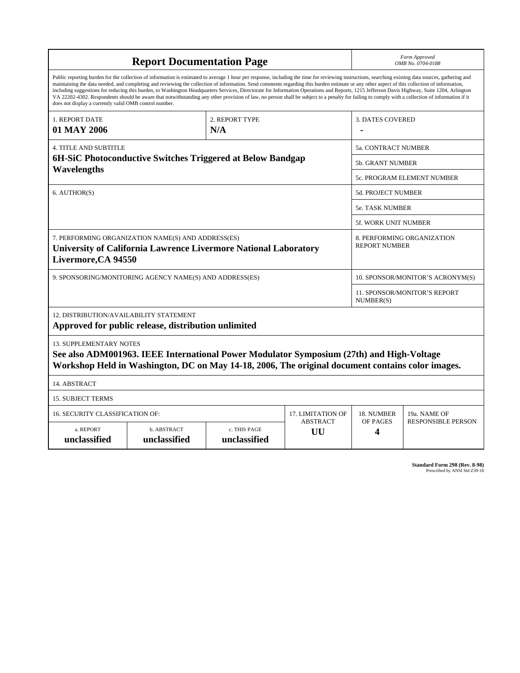| <b>Report Documentation Page</b>                                                                                                                                                                                                                                                                                                                                                                                                                                                                                                                                                                                                                                                                                                                                                                                                                                   |                                                                                                                                                                                              |                              |                         | Form Approved<br>OMB No. 0704-0188                 |                           |  |
|--------------------------------------------------------------------------------------------------------------------------------------------------------------------------------------------------------------------------------------------------------------------------------------------------------------------------------------------------------------------------------------------------------------------------------------------------------------------------------------------------------------------------------------------------------------------------------------------------------------------------------------------------------------------------------------------------------------------------------------------------------------------------------------------------------------------------------------------------------------------|----------------------------------------------------------------------------------------------------------------------------------------------------------------------------------------------|------------------------------|-------------------------|----------------------------------------------------|---------------------------|--|
| Public reporting burden for the collection of information is estimated to average 1 hour per response, including the time for reviewing instructions, searching existing data sources, gathering and<br>maintaining the data needed, and completing and reviewing the collection of information. Send comments regarding this burden estimate or any other aspect of this collection of information,<br>including suggestions for reducing this burden, to Washington Headquarters Services, Directorate for Information Operations and Reports, 1215 Jefferson Davis Highway, Suite 1204, Arlington<br>VA 22202-4302. Respondents should be aware that notwithstanding any other provision of law, no person shall be subject to a penalty for failing to comply with a collection of information if it<br>does not display a currently valid OMB control number. |                                                                                                                                                                                              |                              |                         |                                                    |                           |  |
| 2. REPORT TYPE<br>1. REPORT DATE<br>01 MAY 2006<br>N/A                                                                                                                                                                                                                                                                                                                                                                                                                                                                                                                                                                                                                                                                                                                                                                                                             |                                                                                                                                                                                              |                              | <b>3. DATES COVERED</b> |                                                    |                           |  |
| <b>4. TITLE AND SUBTITLE</b>                                                                                                                                                                                                                                                                                                                                                                                                                                                                                                                                                                                                                                                                                                                                                                                                                                       |                                                                                                                                                                                              |                              |                         | 5a. CONTRACT NUMBER                                |                           |  |
| 6H-SiC Photoconductive Switches Triggered at Below Bandgap<br>Wavelengths                                                                                                                                                                                                                                                                                                                                                                                                                                                                                                                                                                                                                                                                                                                                                                                          |                                                                                                                                                                                              |                              |                         | <b>5b. GRANT NUMBER</b>                            |                           |  |
|                                                                                                                                                                                                                                                                                                                                                                                                                                                                                                                                                                                                                                                                                                                                                                                                                                                                    |                                                                                                                                                                                              |                              |                         | 5c. PROGRAM ELEMENT NUMBER                         |                           |  |
| 6. AUTHOR(S)                                                                                                                                                                                                                                                                                                                                                                                                                                                                                                                                                                                                                                                                                                                                                                                                                                                       |                                                                                                                                                                                              |                              |                         | <b>5d. PROJECT NUMBER</b>                          |                           |  |
|                                                                                                                                                                                                                                                                                                                                                                                                                                                                                                                                                                                                                                                                                                                                                                                                                                                                    |                                                                                                                                                                                              |                              |                         | 5e. TASK NUMBER                                    |                           |  |
|                                                                                                                                                                                                                                                                                                                                                                                                                                                                                                                                                                                                                                                                                                                                                                                                                                                                    |                                                                                                                                                                                              |                              |                         | <b>5f. WORK UNIT NUMBER</b>                        |                           |  |
| 7. PERFORMING ORGANIZATION NAME(S) AND ADDRESS(ES)<br><b>University of California Lawrence Livermore National Laboratory</b><br>Livermore, CA 94550                                                                                                                                                                                                                                                                                                                                                                                                                                                                                                                                                                                                                                                                                                                |                                                                                                                                                                                              |                              |                         | 8. PERFORMING ORGANIZATION<br><b>REPORT NUMBER</b> |                           |  |
| 9. SPONSORING/MONITORING AGENCY NAME(S) AND ADDRESS(ES)                                                                                                                                                                                                                                                                                                                                                                                                                                                                                                                                                                                                                                                                                                                                                                                                            |                                                                                                                                                                                              |                              |                         | 10. SPONSOR/MONITOR'S ACRONYM(S)                   |                           |  |
|                                                                                                                                                                                                                                                                                                                                                                                                                                                                                                                                                                                                                                                                                                                                                                                                                                                                    |                                                                                                                                                                                              |                              |                         | 11. SPONSOR/MONITOR'S REPORT<br>NUMBER(S)          |                           |  |
| 12. DISTRIBUTION/AVAILABILITY STATEMENT                                                                                                                                                                                                                                                                                                                                                                                                                                                                                                                                                                                                                                                                                                                                                                                                                            | Approved for public release, distribution unlimited                                                                                                                                          |                              |                         |                                                    |                           |  |
| <b>13. SUPPLEMENTARY NOTES</b>                                                                                                                                                                                                                                                                                                                                                                                                                                                                                                                                                                                                                                                                                                                                                                                                                                     | See also ADM001963. IEEE International Power Modulator Symposium (27th) and High-Voltage<br>Workshop Held in Washington, DC on May 14-18, 2006, The original document contains color images. |                              |                         |                                                    |                           |  |
| 14. ABSTRACT                                                                                                                                                                                                                                                                                                                                                                                                                                                                                                                                                                                                                                                                                                                                                                                                                                                       |                                                                                                                                                                                              |                              |                         |                                                    |                           |  |
| <b>15. SUBJECT TERMS</b>                                                                                                                                                                                                                                                                                                                                                                                                                                                                                                                                                                                                                                                                                                                                                                                                                                           |                                                                                                                                                                                              |                              |                         |                                                    |                           |  |
| 16. SECURITY CLASSIFICATION OF:                                                                                                                                                                                                                                                                                                                                                                                                                                                                                                                                                                                                                                                                                                                                                                                                                                    | <b>17. LIMITATION OF</b>                                                                                                                                                                     | 18. NUMBER                   | 19a. NAME OF            |                                                    |                           |  |
| a. REPORT<br>unclassified                                                                                                                                                                                                                                                                                                                                                                                                                                                                                                                                                                                                                                                                                                                                                                                                                                          | b. ABSTRACT<br>unclassified                                                                                                                                                                  | c. THIS PAGE<br>unclassified | <b>ABSTRACT</b><br>UU   | OF PAGES<br>4                                      | <b>RESPONSIBLE PERSON</b> |  |

| Standard Form 298 (Rev. 8-98) |
|-------------------------------|
| Prescribed by ANSI Std Z39-18 |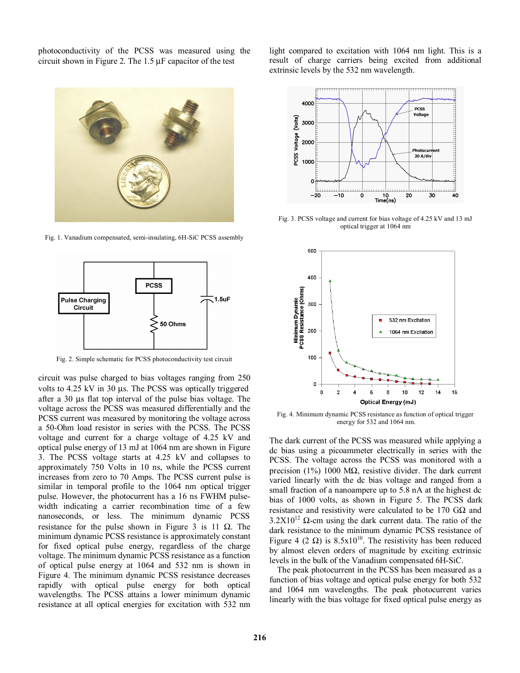photoconductivity of the PCSS was measured using the circuit shown in Figure 2. The 1.5 µF capacitor of the test



Fig. 1. Vanadium compensated, semi-insulating, 6H-SiC PCSS assembly



Fig. 2. Simple schematic for PCSS photoconductivity test circuit

circuit was pulse charged to bias voltages ranging from 250 volts to 4.25 kV in 30 µs. The PCSS was optically triggered after a 30 µs flat top interval of the pulse bias voltage. The voltage across the PCSS was measured differentially and the PCSS current was measured by monitoring the voltage across a 50-Ohm load resistor in series with the PCSS. The PCSS voltage and current for a charge voltage of 4.25 kV and optical pulse energy of 13 mJ at 1064 nm are shown in Figure 3. The PCSS voltage starts at 4.25 kV and collapses to approximately 750 Volts in 10 ns, while the PCSS current increases from zero to 70 Amps. The PCSS current pulse is similar in temporal profile to the 1064 nm optical trigger pulse. However, the photocurrent has a 16 ns FWHM pulsewidth indicating a carrier recombination time of a few nanoseconds, or less. The minimum dynamic PCSS resistance for the pulse shown in Figure 3 is 11  $\Omega$ . The minimum dynamic PCSS resistance is approximately constant for fixed optical pulse energy, regardless of the charge voltage. The minimum dynamic PCSS resistance as a function of optical pulse energy at 1064 and 532 nm is shown in Figure 4. The minimum dynamic PCSS resistance decreases rapidly with optical pulse energy for both optical wavelengths. The PCSS attains a lower minimum dynamic resistance at all optical energies for excitation with 532 nm light compared to excitation with 1064 nm light. This is a result of charge carriers being excited from additional extrinsic levels by the 532 nm wavelength.



Fig. 3. PCSS voltage and current for bias voltage of 4.25 kV and 13 mJ optical trigger at 1064 nm



Fig. 4. Minimum dynamic PCSS resistance as function of optical trigger energy for 532 and 1064 nm.

The dark current of the PCSS was measured while applying a dc bias using a picoammeter electrically in series with the PCSS. The voltage across the PCSS was monitored with a precision (1%) 1000 M $\Omega$ , resistive divider. The dark current varied linearly with the dc bias voltage and ranged from a small fraction of a nanoampere up to 5.8 nA at the highest dc bias of 1000 volts, as shown in Figure 5. The PCSS dark resistance and resistivity were calculated to be 170  $G\Omega$  and  $3.2X10^{12}$  Ω-cm using the dark current data. The ratio of the dark resistance to the minimum dynamic PCSS resistance of Figure 4 (2  $\Omega$ ) is 8.5x10<sup>10</sup>. The resistivity has been reduced by almost eleven orders of magnitude by exciting extrinsic levels in the bulk of the Vanadium compensated 6H-SiC.

The peak photocurrent in the PCSS has been measured as a function of bias voltage and optical pulse energy for both 532 and 1064 nm wavelengths. The peak photocurrent varies linearly with the bias voltage for fixed optical pulse energy as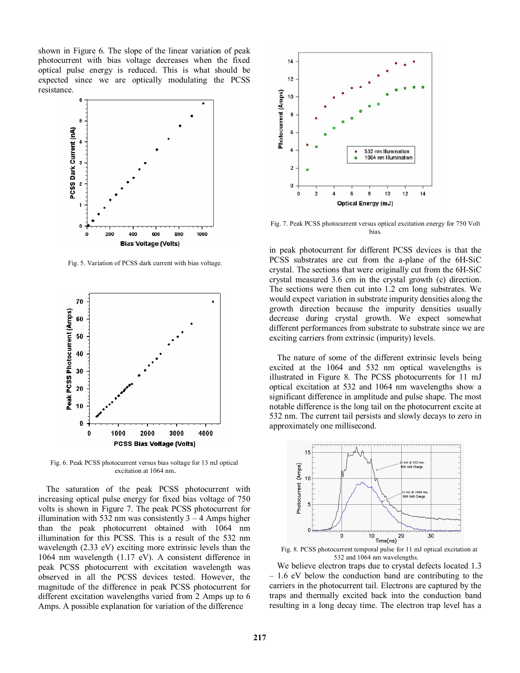shown in Figure 6. The slope of the linear variation of peak photocurrent with bias voltage decreases when the fixed optical pulse energy is reduced. This is what should be expected since we are optically modulating the PCSS resistance.



Fig. 5. Variation of PCSS dark current with bias voltage.



Fig. 6. Peak PCSS photocurrent versus bias voltage for 13 mJ optical excitation at 1064 nm.

The saturation of the peak PCSS photocurrent with increasing optical pulse energy for fixed bias voltage of 750 volts is shown in Figure 7. The peak PCSS photocurrent for illumination with 532 nm was consistently  $3 - 4$  Amps higher than the peak photocurrent obtained with 1064 nm illumination for this PCSS. This is a result of the 532 nm wavelength (2.33 eV) exciting more extrinsic levels than the 1064 nm wavelength (1.17 eV). A consistent difference in peak PCSS photocurrent with excitation wavelength was observed in all the PCSS devices tested. However, the magnitude of the difference in peak PCSS photocurrent for different excitation wavelengths varied from 2 Amps up to 6 Amps. A possible explanation for variation of the difference



Fig. 7. Peak PCSS photocurrent versus optical excitation energy for 750 Volt bias.

in peak photocurrent for different PCSS devices is that the PCSS substrates are cut from the a-plane of the 6H-SiC crystal. The sections that were originally cut from the 6H-SiC crystal measured 3.6 cm in the crystal growth (c) direction. The sections were then cut into 1.2 cm long substrates. We would expect variation in substrate impurity densities along the growth direction because the impurity densities usually decrease during crystal growth. We expect somewhat different performances from substrate to substrate since we are exciting carriers from extrinsic (impurity) levels.

The nature of some of the different extrinsic levels being excited at the 1064 and 532 nm optical wavelengths is illustrated in Figure 8. The PCSS photocurrents for 11 mJ optical excitation at 532 and 1064 nm wavelengths show a significant difference in amplitude and pulse shape. The most notable difference is the long tail on the photocurrent excite at 532 nm. The current tail persists and slowly decays to zero in approximately one millisecond.





We believe electron traps due to crystal defects located 1.3 – 1.6 eV below the conduction band are contributing to the carriers in the photocurrent tail. Electrons are captured by the traps and thermally excited back into the conduction band resulting in a long decay time. The electron trap level has a